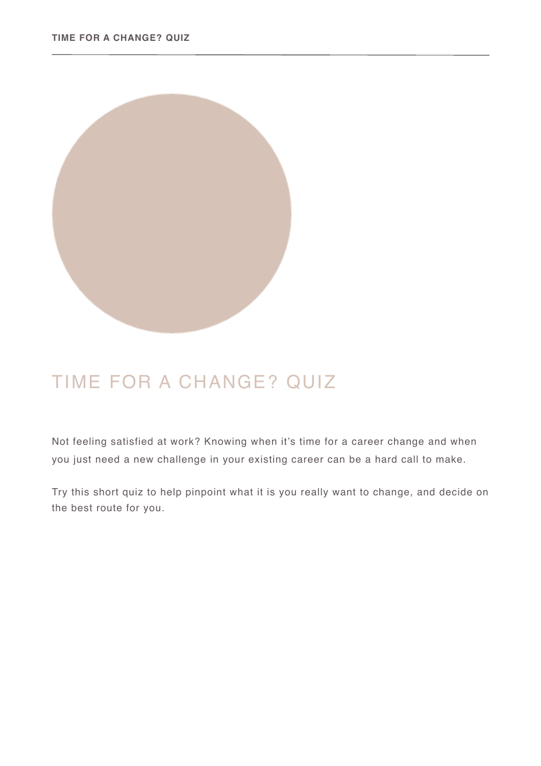

## TIME FOR A CHANGE? QUIZ

Not feeling satisfied at work? Knowing when it's time for a career change and when you just need a new challenge in your existing career can be a hard call to make.

Try this short quiz to help pinpoint what it is you really want to change, and decide on the best route for you.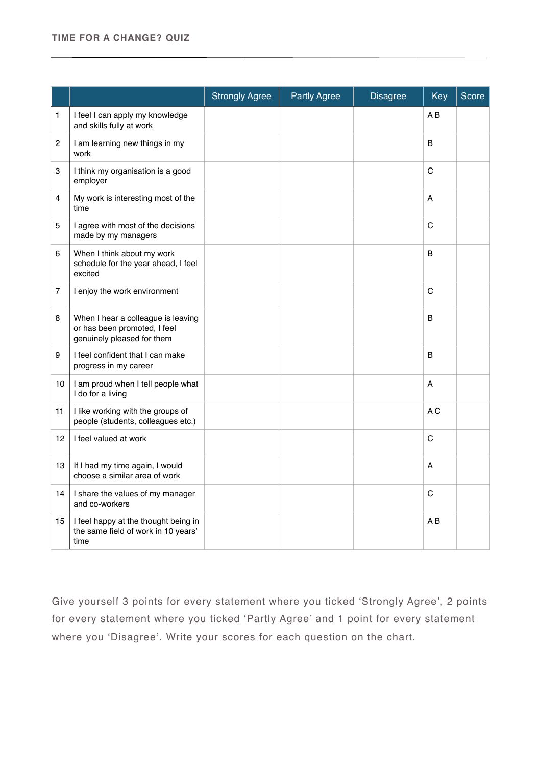## **TIME FOR A CHANGE? QUIZ**

|                 |                                                                                                  | <b>Strongly Agree</b> | <b>Partly Agree</b> | <b>Disagree</b> | Key            | Score |
|-----------------|--------------------------------------------------------------------------------------------------|-----------------------|---------------------|-----------------|----------------|-------|
| 1               | I feel I can apply my knowledge<br>and skills fully at work                                      |                       |                     |                 | A <sub>B</sub> |       |
| 2               | I am learning new things in my<br>work                                                           |                       |                     |                 | B              |       |
| 3               | I think my organisation is a good<br>employer                                                    |                       |                     |                 | $\mathsf{C}$   |       |
| 4               | My work is interesting most of the<br>time                                                       |                       |                     |                 | Α              |       |
| 5               | I agree with most of the decisions<br>made by my managers                                        |                       |                     |                 | C              |       |
| 6               | When I think about my work<br>schedule for the year ahead, I feel<br>excited                     |                       |                     |                 | <sub>B</sub>   |       |
| $\overline{7}$  | I enjoy the work environment                                                                     |                       |                     |                 | C              |       |
| 8               | When I hear a colleague is leaving<br>or has been promoted, I feel<br>genuinely pleased for them |                       |                     |                 | B              |       |
| 9               | I feel confident that I can make<br>progress in my career                                        |                       |                     |                 | B              |       |
| 10 <sup>1</sup> | I am proud when I tell people what<br>I do for a living                                          |                       |                     |                 | A              |       |
| 11              | I like working with the groups of<br>people (students, colleagues etc.)                          |                       |                     |                 | A <sub>C</sub> |       |
| 12              | I feel valued at work                                                                            |                       |                     |                 | $\mathsf{C}$   |       |
| 13              | If I had my time again, I would<br>choose a similar area of work                                 |                       |                     |                 | A              |       |
| 14              | I share the values of my manager<br>and co-workers                                               |                       |                     |                 | C              |       |
| 15              | I feel happy at the thought being in<br>the same field of work in 10 years'<br>time              |                       |                     |                 | AB             |       |

Give yourself 3 points for every statement where you ticked 'Strongly Agree', 2 points for every statement where you ticked 'Partly Agree' and 1 point for every statement where you 'Disagree'. Write your scores for each question on the chart.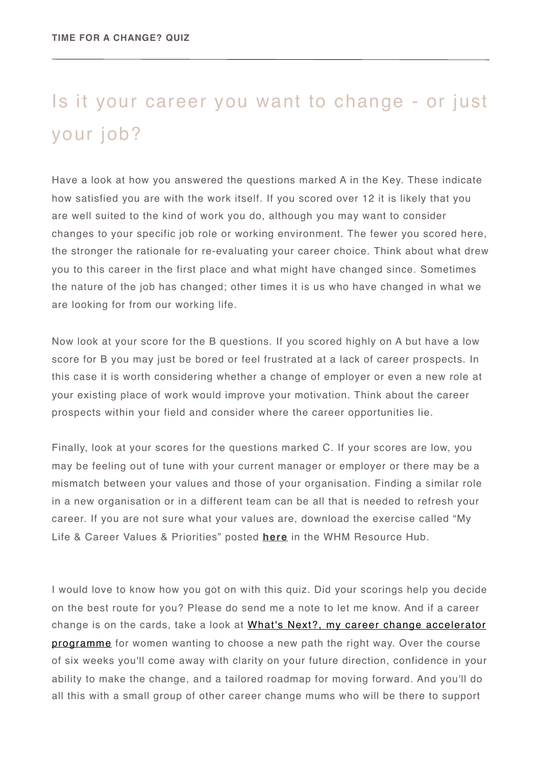## Is it your career you want to change - or just your job?

Have a look at how you answered the questions marked A in the Key. These indicate how satisfied you are with the work itself. If you scored over 12 it is likely that you are well suited to the kind of work you do, although you may want to consider changes to your specific job role or working environment. The fewer you scored here, the stronger the rationale for re-evaluating your career choice. Think about what drew you to this career in the first place and what might have changed since. Sometimes the nature of the job has changed; other times it is us who have changed in what we are looking for from our working life.

Now look at your score for the B questions. If you scored highly on A but have a low score for B you may just be bored or feel frustrated at a lack of career prospects. In this case it is worth considering whether a change of employer or even a new role at your existing place of work would improve your motivation. Think about the career prospects within your field and consider where the career opportunities lie.

Finally, look at your scores for the questions marked C. If your scores are low, you may be feeling out of tune with your current manager or employer or there may be a mismatch between your values and those of your organisation. Finding a similar role in a new organisation or in a different team can be all that is needed to refresh your career. If you are not sure what your values are, download the exercise called "My Life & Career Values & Priorities" posted **[here](https://www.workhappymums.com/the-resource-hub.html)** in the WHM Resource Hub.

I would love to know how you got on with this quiz. Did your scorings help you decide on the best route for you? Please do send me a note to let me know. And if a career [change is on the cards, take a look at What's Next?, my career change accelerator](https://www.workhappymums.com/whats-next-accelerator-sign-up-page.html)  programme for women wanting to choose a new path the right way. Over the course of six weeks you'll come away with clarity on your future direction, confidence in your ability to make the change, and a tailored roadmap for moving forward. And you'll do all this with a small group of other career change mums who will be there to support